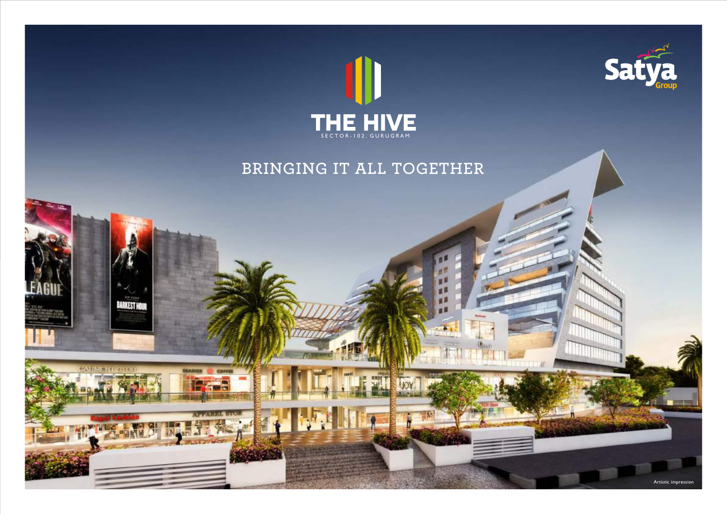



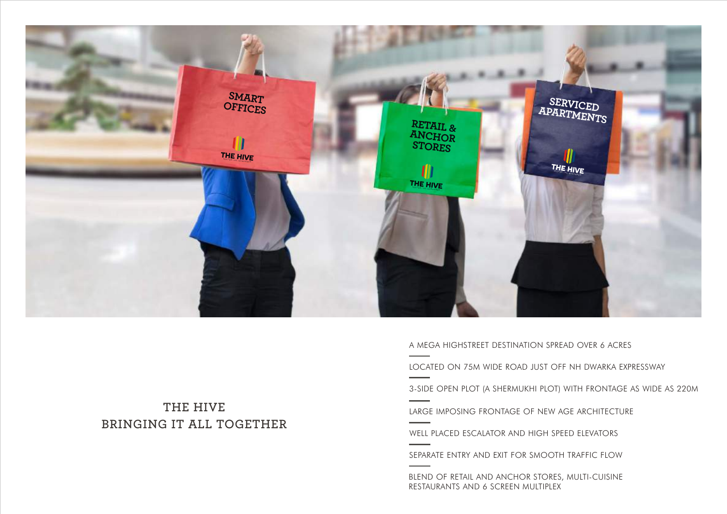

A MEGA HIGHSTREET DESTINATION SPREAD OVER 6 ACRES

LOCATED ON 75M WIDE ROAD JUST OFF NH DWARKA EXPRESSWAY

3-SIDE OPEN PLOT (A SHERMUKHI PLOT) WITH FRONTAGE AS WIDE AS 220M

BLEND OF RETAIL AND ANCHOR STORES, MULTI-CUISINE RESTAURANTS AND 6 SCREEN MULTIPLEX

LARGE IMPOSING FRONTAGE OF NEW AGE ARCHITECTURE

WELL PLACED ESCALATOR AND HIGH SPEED ELEVATORS

SEPARATE ENTRY AND EXIT FOR SMOOTH TRAFFIC FLOW

# **THE HIVE BRINGING IT ALL TOGETHER**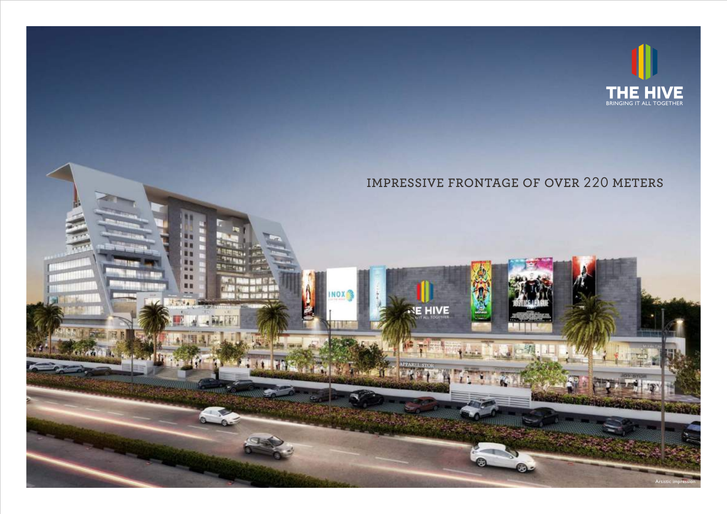

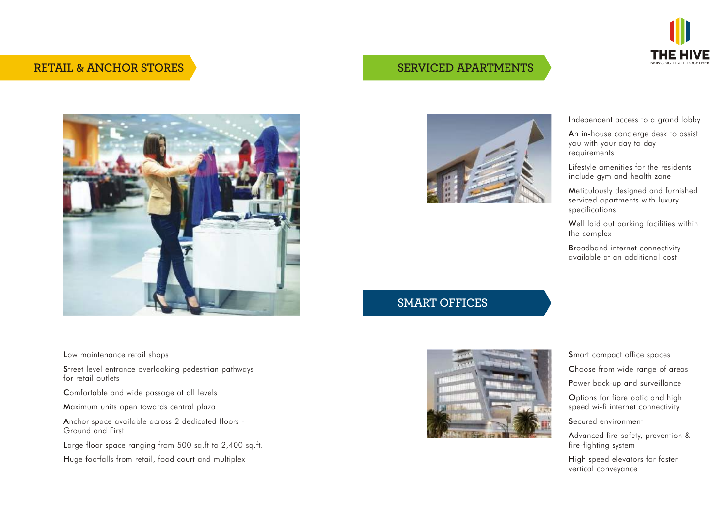Independent access to a grand lobby

An in-house concierge desk to assist you with your day to day requirements

Lifestyle amenities for the residents include gym and health zone

Well laid out parking facilities within the complex

Meticulously designed and furnished serviced apartments with luxury specifications

Broadband internet connectivity available at an additional cost



# **RETAIL & ANCHOR STORES**





Low maintenance retail shops

Street level entrance overlooking pedestrian pathways for retail outlets

Comfortable and wide passage at all levels

Maximum units open towards central plaza

Anchor space available across 2 dedicated floors - Ground and First

Large floor space ranging from 500 sq.ft to 2,400 sq.ft.

Huge footfalls from retail, food court and multiplex



## **SERVICED APARTMENTS**

# **SMART OFFICES**

Smart compact office spaces Choose from wide range of areas Power back-up and surveillance Options for fibre optic and high

speed wi-fi internet connectivity

Secured environment

Advanced fire-safety, prevention & fire-fighting system

High speed elevators for faster vertical conveyance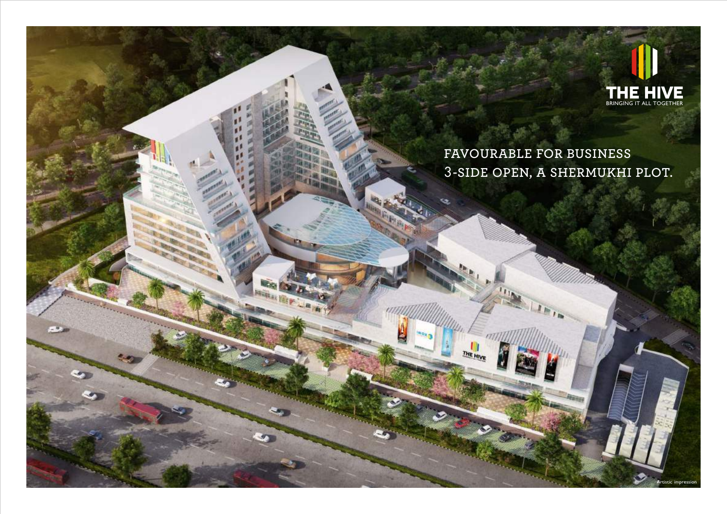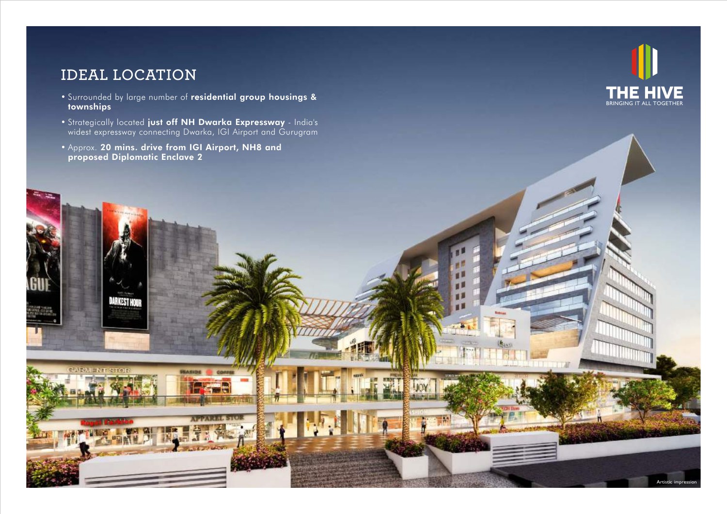- Surrounded by large number of residential group housings & townships
- Strategically located just off NH Dwarka Expressway India's widest expressway connecting Dwarka, IGI Airport and Gurugram
- 



# **THE HIVE**

# **IDEAL LOCATION**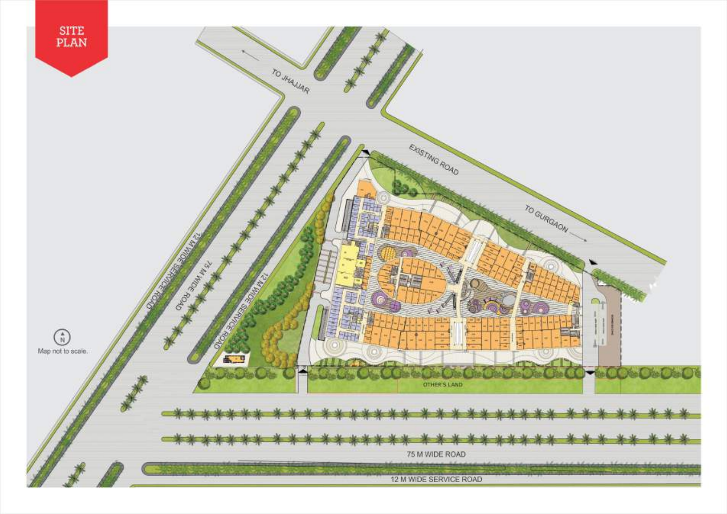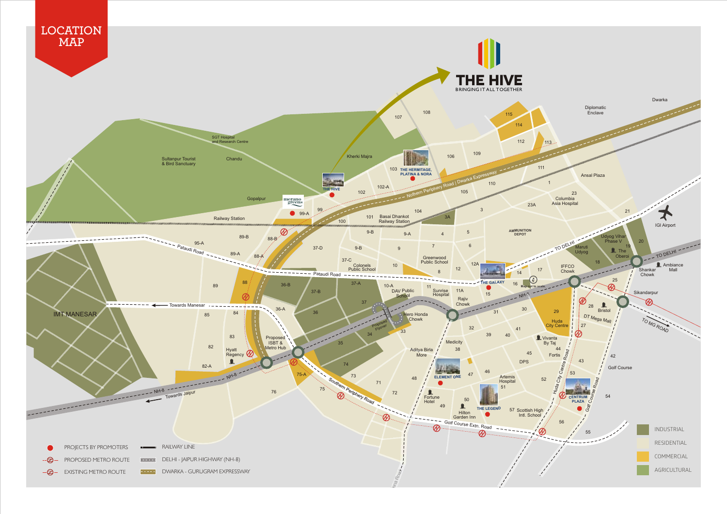